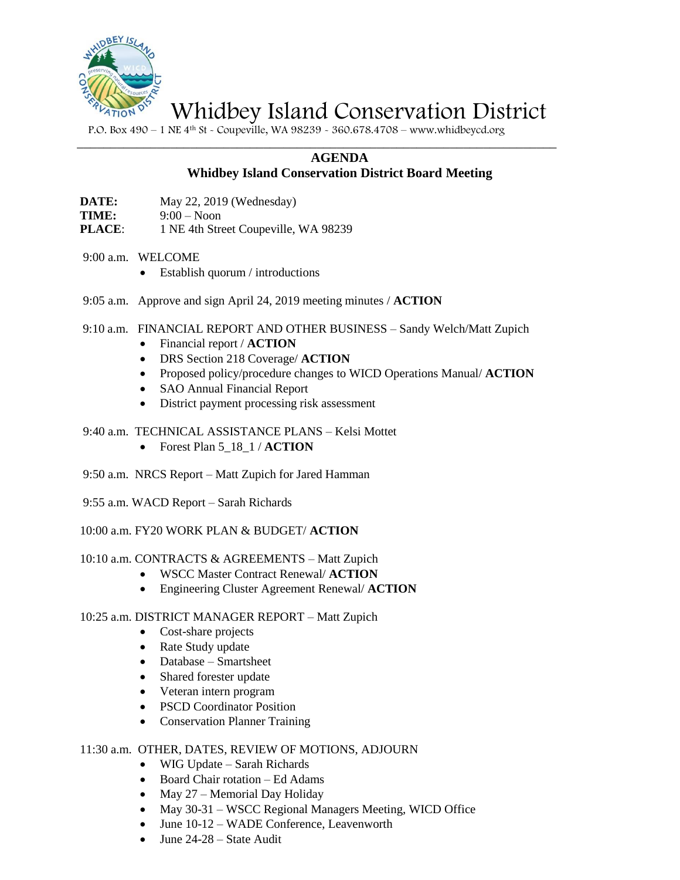

Whidbey Island Conservation District

P.O. Box 490 – 1 NE 4th St - Coupeville, WA 98239 - 360.678.4708 – www.whidbeycd.org

 $\_$  , and the set of the set of the set of the set of the set of the set of the set of the set of the set of the set of the set of the set of the set of the set of the set of the set of the set of the set of the set of th

## **AGENDA**

# **Whidbey Island Conservation District Board Meeting**

**DATE:** May 22, 2019 (Wednesday)

- **TIME:** 9:00 Noon
- **PLACE:** 1 NE 4th Street Coupeville, WA 98239
- 9:00 a.m. WELCOME
	- Establish quorum / introductions
- 9:05 a.m. Approve and sign April 24, 2019 meeting minutes / **ACTION**
- 9:10 a.m. FINANCIAL REPORT AND OTHER BUSINESS Sandy Welch/Matt Zupich
	- Financial report / **ACTION**
	- DRS Section 218 Coverage/ **ACTION**
	- Proposed policy/procedure changes to WICD Operations Manual/ **ACTION**
	- SAO Annual Financial Report
	- District payment processing risk assessment
- 9:40 a.m. TECHNICAL ASSISTANCE PLANS Kelsi Mottet
	- Forest Plan 5\_18\_1 / **ACTION**
- 9:50 a.m. NRCS Report Matt Zupich for Jared Hamman
- 9:55 a.m. WACD Report Sarah Richards

10:00 a.m. FY20 WORK PLAN & BUDGET/ **ACTION**

#### 10:10 a.m. CONTRACTS & AGREEMENTS – Matt Zupich

- WSCC Master Contract Renewal/ **ACTION**
- Engineering Cluster Agreement Renewal/ **ACTION**

### 10:25 a.m. DISTRICT MANAGER REPORT – Matt Zupich

- Cost-share projects
- Rate Study update
- Database Smartsheet
- Shared forester update
- Veteran intern program
- PSCD Coordinator Position
- Conservation Planner Training

#### 11:30 a.m. OTHER, DATES, REVIEW OF MOTIONS, ADJOURN

- WIG Update Sarah Richards
- Board Chair rotation Ed Adams
- May 27 Memorial Day Holiday
- May 30-31 WSCC Regional Managers Meeting, WICD Office
- June 10-12 WADE Conference, Leavenworth
- June 24-28 State Audit